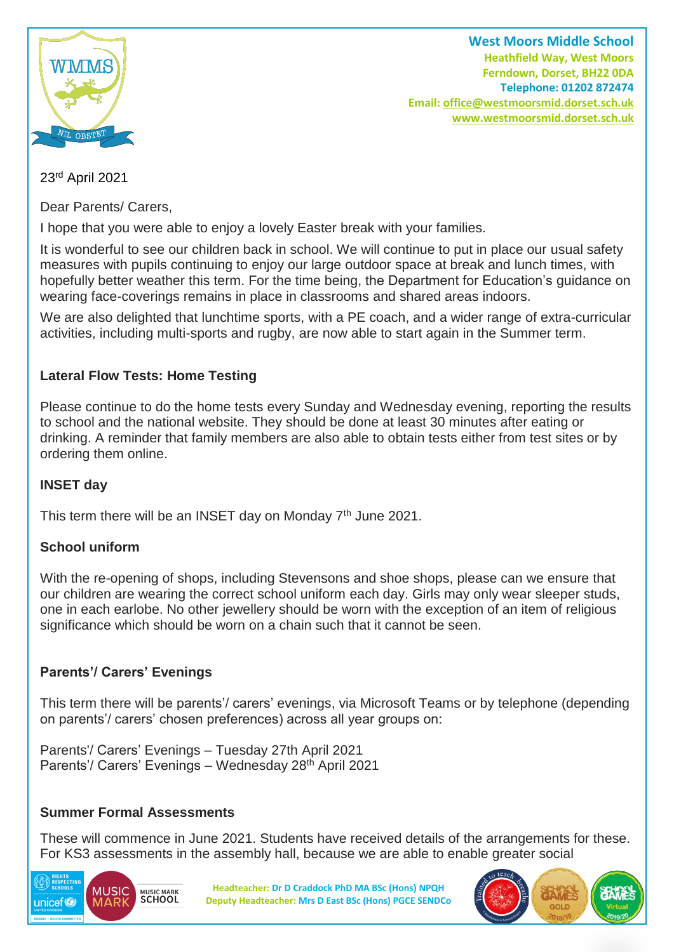

**West Moors Middle School Heathfield Way, West Moors Ferndown, Dorset, BH22 0DA Telephone: 01202 872474 Email[: office@westmoorsmid.dorset.sch.uk](mailto:office@westmoorsmid.dorset.sch.uk) www.westmoorsmid.dorset.sch.uk**

23rd April 2021

Dear Parents/ Carers,

I hope that you were able to enjoy a lovely Easter break with your families.

It is wonderful to see our children back in school. We will continue to put in place our usual safety measures with pupils continuing to enjoy our large outdoor space at break and lunch times, with hopefully better weather this term. For the time being, the Department for Education's guidance on wearing face-coverings remains in place in classrooms and shared areas indoors.

We are also delighted that lunchtime sports, with a PE coach, and a wider range of extra-curricular activities, including multi-sports and rugby, are now able to start again in the Summer term.

# **Lateral Flow Tests: Home Testing**

Please continue to do the home tests every Sunday and Wednesday evening, reporting the results to school and the national website. They should be done at least 30 minutes after eating or drinking. A reminder that family members are also able to obtain tests either from test sites or by ordering them online.

## **INSET day**

This term there will be an INSET day on Monday  $7<sup>th</sup>$  June 2021.

## **School uniform**

With the re-opening of shops, including Stevensons and shoe shops, please can we ensure that our children are wearing the correct school uniform each day. Girls may only wear sleeper studs, one in each earlobe. No other jewellery should be worn with the exception of an item of religious significance which should be worn on a chain such that it cannot be seen.

## **Parents'/ Carers' Evenings**

This term there will be parents'/ carers' evenings, via Microsoft Teams or by telephone (depending on parents'/ carers' chosen preferences) across all year groups on:

Parents'/ Carers' Evenings – Tuesday 27th April 2021 Parents'/ Carers' Evenings – Wednesday 28<sup>th</sup> April 2021

## **Summer Formal Assessments**

These will commence in June 2021. Students have received details of the arrangements for these. For KS3 assessments in the assembly hall, because we are able to enable greater social



**Headteacher: Dr D Craddock PhD MA BSc (Hons) NPQH Deputy Headteacher: Mrs D East BSc (Hons) PGCE SENDCo**